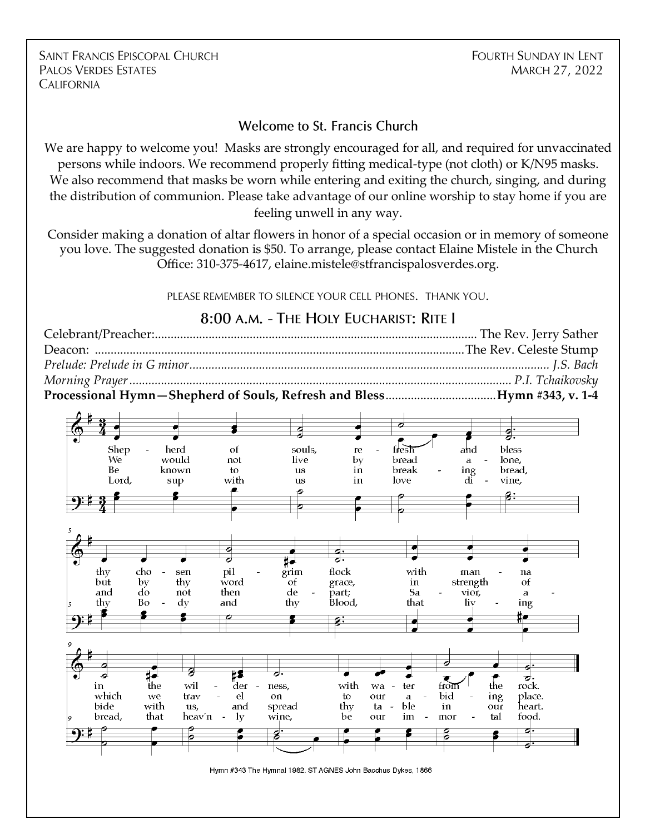**SAINT FRANCIS EPISCOPAL CHURCH PALOS VERDES ESTATES CALIFORNIA** 

**FOURTH SUNDAY IN LENT MARCH 27, 2022** 

## Welcome to St. Francis Church

We are happy to welcome you! Masks are strongly encouraged for all, and required for unvaccinated persons while indoors. We recommend properly fitting medical-type (not cloth) or K/N95 masks. We also recommend that masks be worn while entering and exiting the church, singing, and during the distribution of communion. Please take advantage of our online worship to stay home if you are feeling unwell in any way.

Consider making a donation of altar flowers in honor of a special occasion or in memory of someone you love. The suggested donation is \$50. To arrange, please contact Elaine Mistele in the Church Office: 310-375-4617, elaine.mistele@stfrancispalosverdes.org.

PLEASE REMEMBER TO SILENCE YOUR CELL PHONES. THANK YOU.

8:00 A.M. - THE HOLY EUCHARIST: RITE I



Hymn #343 The Hymnal 1982. ST AGNES John Bacchus Dykes, 1866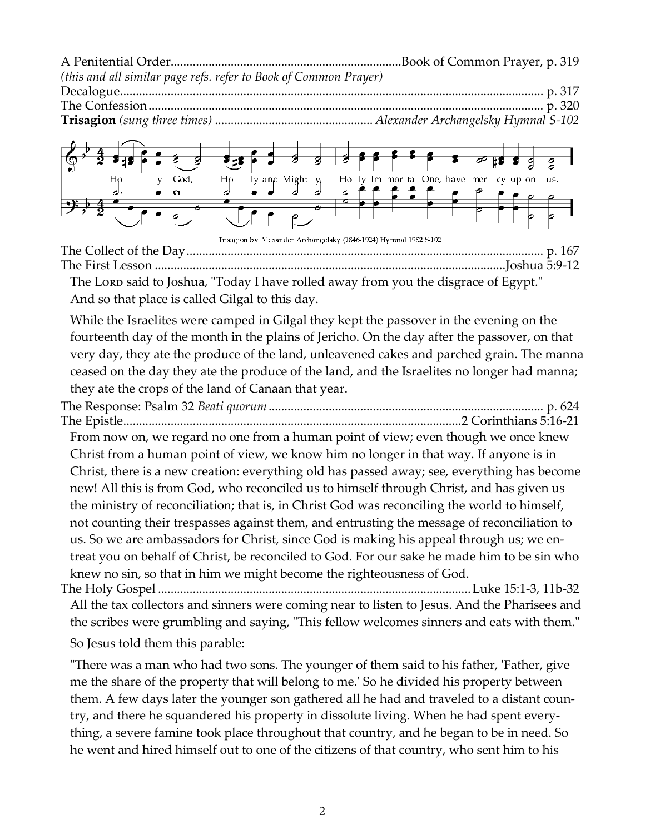A Penitential Order.........................................................................Book of Common Prayer, p. 319 *(this and all similar page refs. refer to Book of Common Prayer)* Decalogue...................................................................................................................................... p. 317 The Confession............................................................................................................................. p. 320 **Trisagion** *(sung three times)* .................................................. *Alexander Archangelsky Hymnal S-102*



The Collect of the Day................................................................................................................. p. 167 The First Lesson ...............................................................................................................Joshua 5:9-12 The Lorp said to Joshua, "Today I have rolled away from you the disgrace of Egypt."

And so that place is called Gilgal to this day.

While the Israelites were camped in Gilgal they kept the passover in the evening on the fourteenth day of the month in the plains of Jericho. On the day after the passover, on that very day, they ate the produce of the land, unleavened cakes and parched grain. The manna ceased on the day they ate the produce of the land, and the Israelites no longer had manna; they ate the crops of the land of Canaan that year.

The Response: Psalm 32 *Beati quorum*....................................................................................... p. 624 The Epistle...........................................................................................................2 Corinthians 5:16-21 From now on, we regard no one from a human point of view; even though we once knew Christ from a human point of view, we know him no longer in that way. If anyone is in Christ, there is a new creation: everything old has passed away; see, everything has become new! All this is from God, who reconciled us to himself through Christ, and has given us the ministry of reconciliation; that is, in Christ God was reconciling the world to himself, not counting their trespasses against them, and entrusting the message of reconciliation to us. So we are ambassadors for Christ, since God is making his appeal through us; we entreat you on behalf of Christ, be reconciled to God. For our sake he made him to be sin who knew no sin, so that in him we might become the righteousness of God. The Holy Gospel ...................................................................................................Luke 15:1-3, 11b-32 All the tax collectors and sinners were coming near to listen to Jesus. And the Pharisees and

the scribes were grumbling and saying, "This fellow welcomes sinners and eats with them."

So Jesus told them this parable:

"There was a man who had two sons. The younger of them said to his father, 'Father, give me the share of the property that will belong to me.' So he divided his property between them. A few days later the younger son gathered all he had and traveled to a distant country, and there he squandered his property in dissolute living. When he had spent everything, a severe famine took place throughout that country, and he began to be in need. So he went and hired himself out to one of the citizens of that country, who sent him to his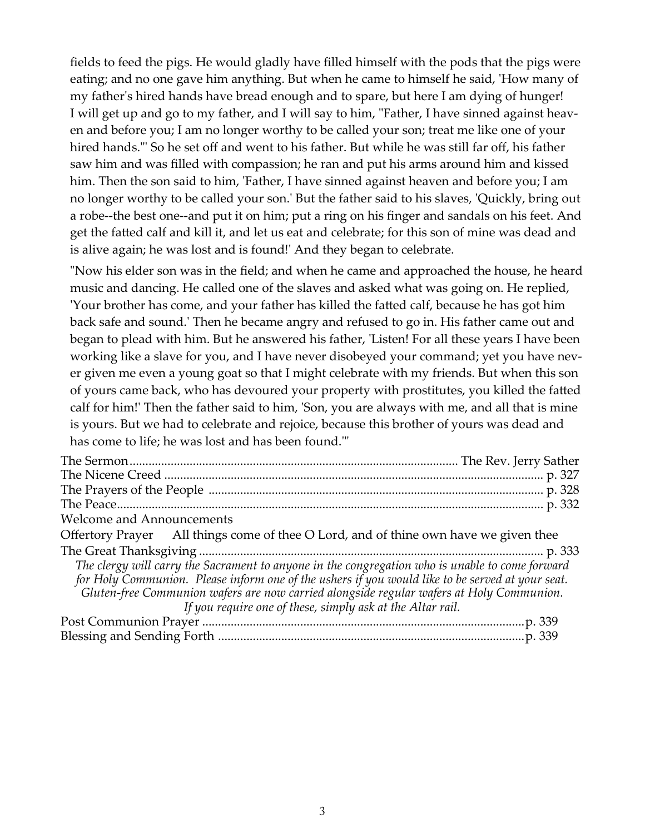fields to feed the pigs. He would gladly have filled himself with the pods that the pigs were eating; and no one gave him anything. But when he came to himself he said, 'How many of my father's hired hands have bread enough and to spare, but here I am dying of hunger! I will get up and go to my father, and I will say to him, "Father, I have sinned against heaven and before you; I am no longer worthy to be called your son; treat me like one of your hired hands."' So he set off and went to his father. But while he was still far off, his father saw him and was filled with compassion; he ran and put his arms around him and kissed him. Then the son said to him, 'Father, I have sinned against heaven and before you; I am no longer worthy to be called your son.' But the father said to his slaves, 'Quickly, bring out a robe--the best one--and put it on him; put a ring on his finger and sandals on his feet. And get the fatted calf and kill it, and let us eat and celebrate; for this son of mine was dead and is alive again; he was lost and is found!' And they began to celebrate.

"Now his elder son was in the field; and when he came and approached the house, he heard music and dancing. He called one of the slaves and asked what was going on. He replied, 'Your brother has come, and your father has killed the fatted calf, because he has got him back safe and sound.' Then he became angry and refused to go in. His father came out and began to plead with him. But he answered his father, 'Listen! For all these years I have been working like a slave for you, and I have never disobeyed your command; yet you have never given me even a young goat so that I might celebrate with my friends. But when this son of yours came back, who has devoured your property with prostitutes, you killed the fatted calf for him!' Then the father said to him, 'Son, you are always with me, and all that is mine is yours. But we had to celebrate and rejoice, because this brother of yours was dead and has come to life; he was lost and has been found.'"

| <b>Welcome and Announcements</b>                                                                 |  |
|--------------------------------------------------------------------------------------------------|--|
| Offertory Prayer All things come of thee O Lord, and of thine own have we given thee             |  |
|                                                                                                  |  |
| The clergy will carry the Sacrament to anyone in the congregation who is unable to come forward  |  |
| for Holy Communion. Please inform one of the ushers if you would like to be served at your seat. |  |
| Gluten-free Communion wafers are now carried alongside regular wafers at Holy Communion.         |  |
| If you require one of these, simply ask at the Altar rail.                                       |  |
|                                                                                                  |  |
|                                                                                                  |  |